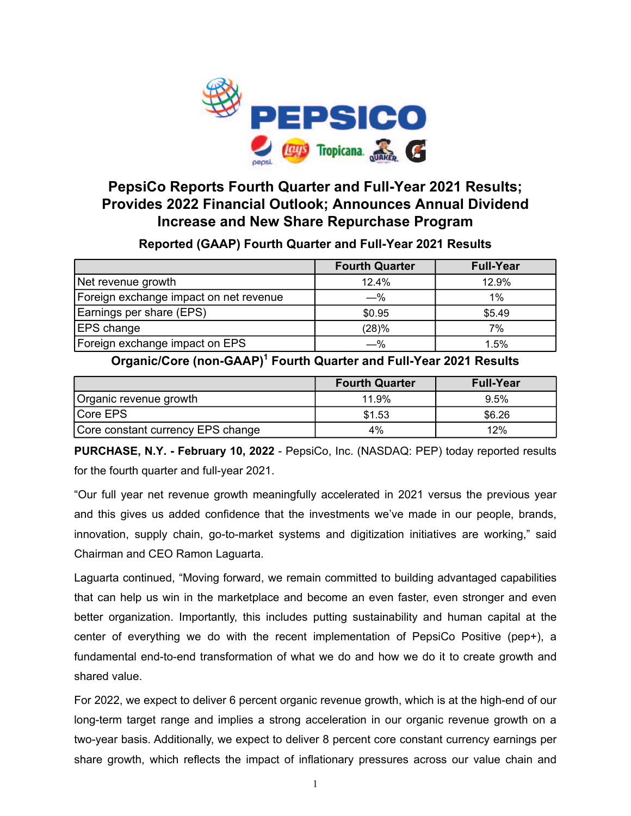

# **PepsiCo Reports Fourth Quarter and Full-Year 2021 Results; Provides 2022 Financial Outlook; Announces Annual Dividend Increase and New Share Repurchase Program**

# **Reported (GAAP) Fourth Quarter and Full-Year 2021 Results**

|                                        | <b>Fourth Quarter</b> | <b>Full-Year</b> |
|----------------------------------------|-----------------------|------------------|
| Net revenue growth                     | 12.4%                 | 12.9%            |
| Foreign exchange impact on net revenue | $-\%$                 | $1\%$            |
| Earnings per share (EPS)               | \$0.95                | \$5.49           |
| <b>EPS</b> change                      | (28)%                 | 7%               |
| Foreign exchange impact on EPS         | $-$ %                 | 1.5%             |

# **Organic/Core (non-GAAP)<sup>1</sup> Fourth Quarter and Full-Year 2021 Results**

|                                   | <b>Fourth Quarter</b> | <b>Full-Year</b> |
|-----------------------------------|-----------------------|------------------|
| Organic revenue growth            | 11.9%                 | 9.5%             |
| Core EPS                          | \$1.53                | \$6.26           |
| Core constant currency EPS change | 4%                    | 12%              |

**PURCHASE, N.Y. - February 10, 2022** - PepsiCo, Inc. (NASDAQ: PEP) today reported results for the fourth quarter and full-year 2021.

"Our full year net revenue growth meaningfully accelerated in 2021 versus the previous year and this gives us added confidence that the investments we've made in our people, brands, innovation, supply chain, go-to-market systems and digitization initiatives are working," said Chairman and CEO Ramon Laguarta.

Laguarta continued, "Moving forward, we remain committed to building advantaged capabilities that can help us win in the marketplace and become an even faster, even stronger and even better organization. Importantly, this includes putting sustainability and human capital at the center of everything we do with the recent implementation of PepsiCo Positive (pep+), a fundamental end-to-end transformation of what we do and how we do it to create growth and shared value.

For 2022, we expect to deliver 6 percent organic revenue growth, which is at the high-end of our long-term target range and implies a strong acceleration in our organic revenue growth on a two-year basis. Additionally, we expect to deliver 8 percent core constant currency earnings per share growth, which reflects the impact of inflationary pressures across our value chain and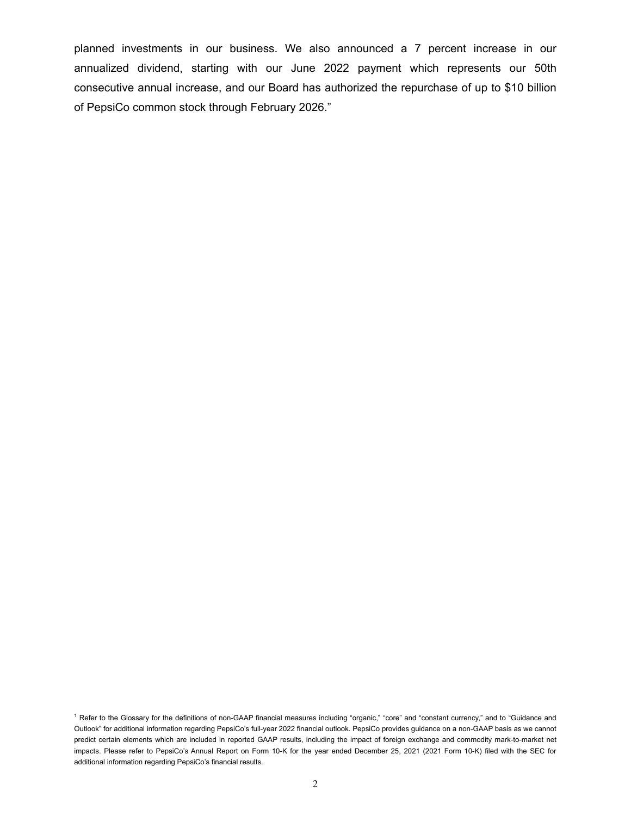planned investments in our business. We also announced a 7 percent increase in our annualized dividend, starting with our June 2022 payment which represents our 50th consecutive annual increase, and our Board has authorized the repurchase of up to \$10 billion of PepsiCo common stock through February 2026."

<sup>&</sup>lt;sup>1</sup> Refer to the Glossary for the definitions of non-GAAP financial measures including "organic," "core" and "constant currency," and to "Guidance and Outlook" for additional information regarding PepsiCo's full-year 2022 financial outlook. PepsiCo provides guidance on a non-GAAP basis as we cannot predict certain elements which are included in reported GAAP results, including the impact of foreign exchange and commodity mark-to-market net impacts. Please refer to PepsiCo's Annual Report on Form 10-K for the year ended December 25, 2021 (2021 Form 10-K) filed with the SEC for additional information regarding PepsiCo's financial results.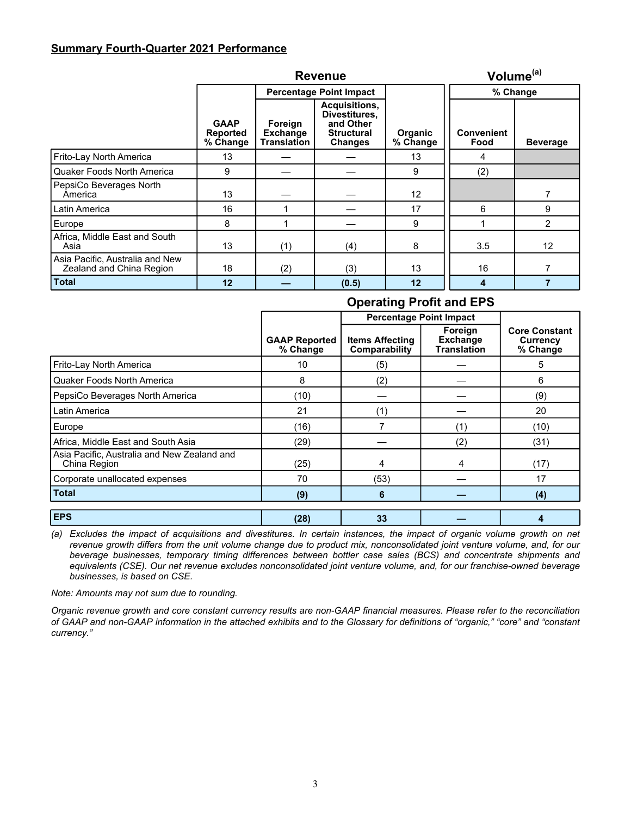### **Summary Fourth-Quarter 2021 Performance**

|                                                             | <b>Revenue</b>                             |                                           |                                                                                    |                            | Volume <sup>(a)</sup>     |                 |
|-------------------------------------------------------------|--------------------------------------------|-------------------------------------------|------------------------------------------------------------------------------------|----------------------------|---------------------------|-----------------|
|                                                             | <b>Percentage Point Impact</b>             |                                           |                                                                                    | % Change                   |                           |                 |
|                                                             | <b>GAAP</b><br><b>Reported</b><br>% Change | Foreign<br><b>Exchange</b><br>Translation | Acquisitions,<br>Divestitures.<br>and Other<br><b>Structural</b><br><b>Changes</b> | <b>Organic</b><br>% Change | <b>Convenient</b><br>Food | <b>Beverage</b> |
| Frito-Lay North America                                     | 13                                         |                                           |                                                                                    | 13                         | 4                         |                 |
| Quaker Foods North America                                  | 9                                          |                                           |                                                                                    | 9                          | (2)                       |                 |
| PepsiCo Beverages North<br>America                          | 13                                         |                                           |                                                                                    | 12                         |                           |                 |
| Latin America                                               | 16                                         |                                           |                                                                                    | 17                         | 6                         | 9               |
| Europe                                                      | 8                                          |                                           |                                                                                    | 9                          |                           | $\overline{2}$  |
| Africa, Middle East and South<br>Asia                       | 13                                         | (1)                                       | (4)                                                                                | 8                          | 3.5                       | 12              |
| Asia Pacific, Australia and New<br>Zealand and China Region | 18                                         | (2)                                       | (3)                                                                                | 13                         | 16                        |                 |
| <b>Total</b>                                                | 12                                         |                                           | (0.5)                                                                              | 12                         | 4                         |                 |

# **Operating Profit and EPS**

|                                                             |                                  | <b>Percentage Point Impact</b>          |                                                  |                                              |
|-------------------------------------------------------------|----------------------------------|-----------------------------------------|--------------------------------------------------|----------------------------------------------|
|                                                             | <b>GAAP Reported</b><br>% Change | <b>Items Affecting</b><br>Comparability | Foreign<br><b>Exchange</b><br><b>Translation</b> | <b>Core Constant</b><br>Currency<br>% Change |
| Frito-Lay North America                                     | 10                               | (5)                                     |                                                  | 5                                            |
| Quaker Foods North America                                  | 8                                | (2)                                     |                                                  | 6                                            |
| PepsiCo Beverages North America                             | (10)                             |                                         |                                                  | (9)                                          |
| Latin America                                               | 21                               | (1)                                     |                                                  | 20                                           |
| Europe                                                      | (16)                             |                                         | (1)                                              | (10)                                         |
| Africa, Middle East and South Asia                          | (29)                             |                                         | (2)                                              | (31)                                         |
| Asia Pacific, Australia and New Zealand and<br>China Region | (25)                             | 4                                       | 4                                                | (17)                                         |
| Corporate unallocated expenses                              | 70                               | (53)                                    |                                                  | 17                                           |
| <b>Total</b>                                                | (9)                              | 6                                       |                                                  | (4)                                          |
| <b>EPS</b>                                                  | (28)                             | 33                                      |                                                  |                                              |

*(a) Excludes the impact of acquisitions and divestitures. In certain instances, the impact of organic volume growth on net revenue growth differs from the unit volume change due to product mix, nonconsolidated joint venture volume, and, for our beverage businesses, temporary timing differences between bottler case sales (BCS) and concentrate shipments and equivalents (CSE). Our net revenue excludes nonconsolidated joint venture volume, and, for our franchise-owned beverage businesses, is based on CSE.*

*Note: Amounts may not sum due to rounding.* 

*Organic revenue growth and core constant currency results are non-GAAP financial measures. Please refer to the reconciliation of GAAP and non-GAAP information in the attached exhibits and to the Glossary for definitions of "organic," "core" and "constant currency."*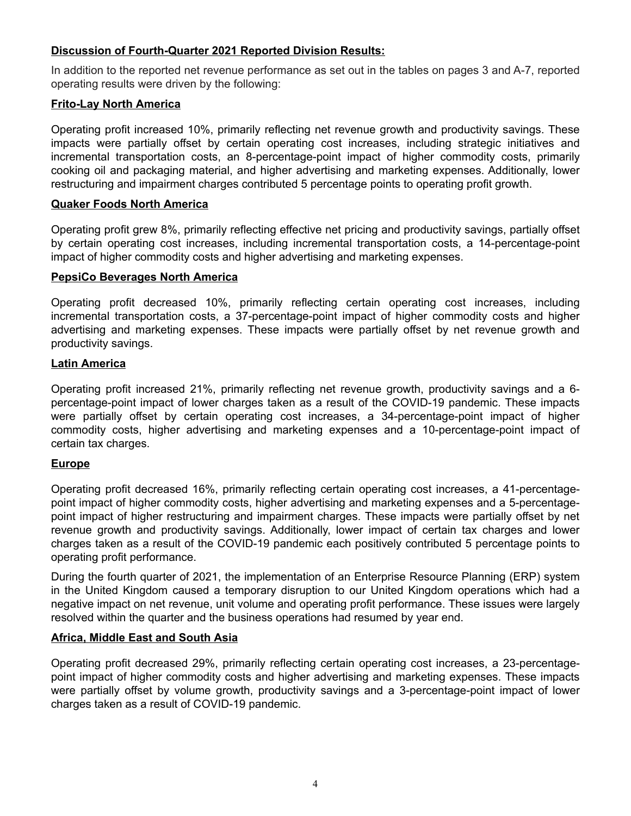# **Discussion of Fourth-Quarter 2021 Reported Division Results:**

In addition to the reported net revenue performance as set out in the tables on pages 3 and A-7, reported operating results were driven by the following:

#### **Frito-Lay North America**

Operating profit increased 10%, primarily reflecting net revenue growth and productivity savings. These impacts were partially offset by certain operating cost increases, including strategic initiatives and incremental transportation costs, an 8-percentage-point impact of higher commodity costs, primarily cooking oil and packaging material, and higher advertising and marketing expenses. Additionally, lower restructuring and impairment charges contributed 5 percentage points to operating profit growth.

#### **Quaker Foods North America**

Operating profit grew 8%, primarily reflecting effective net pricing and productivity savings, partially offset by certain operating cost increases, including incremental transportation costs, a 14-percentage-point impact of higher commodity costs and higher advertising and marketing expenses.

#### **PepsiCo Beverages North America**

Operating profit decreased 10%, primarily reflecting certain operating cost increases, including incremental transportation costs, a 37-percentage-point impact of higher commodity costs and higher advertising and marketing expenses. These impacts were partially offset by net revenue growth and productivity savings.

### **Latin America**

Operating profit increased 21%, primarily reflecting net revenue growth, productivity savings and a 6 percentage-point impact of lower charges taken as a result of the COVID-19 pandemic. These impacts were partially offset by certain operating cost increases, a 34-percentage-point impact of higher commodity costs, higher advertising and marketing expenses and a 10-percentage-point impact of certain tax charges.

### **Europe**

Operating profit decreased 16%, primarily reflecting certain operating cost increases, a 41-percentagepoint impact of higher commodity costs, higher advertising and marketing expenses and a 5-percentagepoint impact of higher restructuring and impairment charges. These impacts were partially offset by net revenue growth and productivity savings. Additionally, lower impact of certain tax charges and lower charges taken as a result of the COVID-19 pandemic each positively contributed 5 percentage points to operating profit performance.

During the fourth quarter of 2021, the implementation of an Enterprise Resource Planning (ERP) system in the United Kingdom caused a temporary disruption to our United Kingdom operations which had a negative impact on net revenue, unit volume and operating profit performance. These issues were largely resolved within the quarter and the business operations had resumed by year end.

### **Africa, Middle East and South Asia**

Operating profit decreased 29%, primarily reflecting certain operating cost increases, a 23-percentagepoint impact of higher commodity costs and higher advertising and marketing expenses. These impacts were partially offset by volume growth, productivity savings and a 3-percentage-point impact of lower charges taken as a result of COVID-19 pandemic.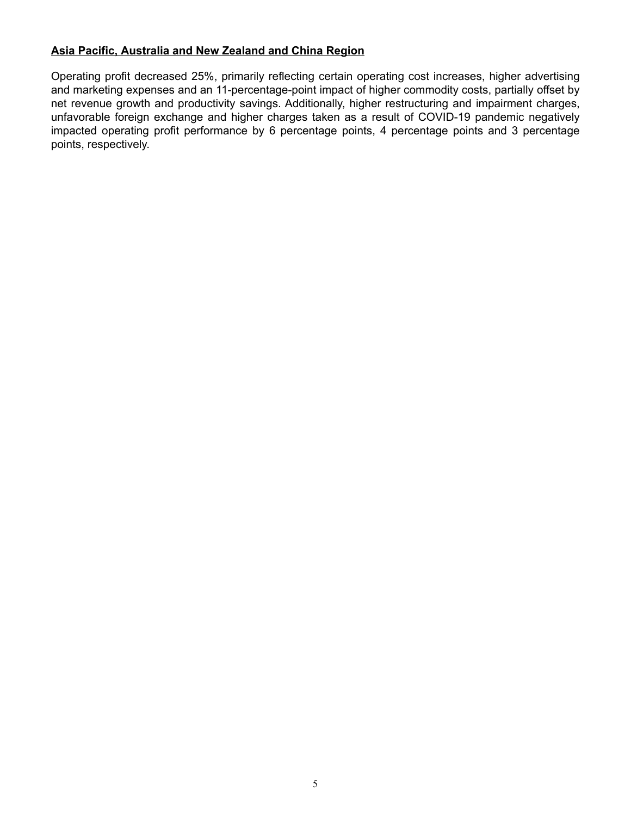# **Asia Pacific, Australia and New Zealand and China Region**

Operating profit decreased 25%, primarily reflecting certain operating cost increases, higher advertising and marketing expenses and an 11-percentage-point impact of higher commodity costs, partially offset by net revenue growth and productivity savings. Additionally, higher restructuring and impairment charges, unfavorable foreign exchange and higher charges taken as a result of COVID-19 pandemic negatively impacted operating profit performance by 6 percentage points, 4 percentage points and 3 percentage points, respectively.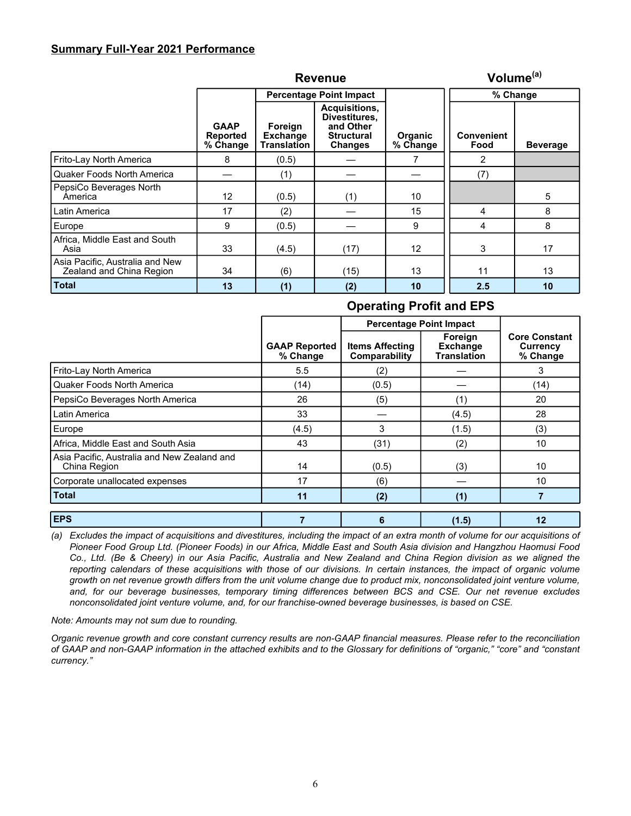### **Summary Full-Year 2021 Performance**

|                                                             | <b>Revenue</b>                      |                                                  |                                                                                    |                            | Volume <sup>(a)</sup>     |                 |
|-------------------------------------------------------------|-------------------------------------|--------------------------------------------------|------------------------------------------------------------------------------------|----------------------------|---------------------------|-----------------|
|                                                             |                                     | <b>Percentage Point Impact</b>                   |                                                                                    |                            | % Change                  |                 |
|                                                             | <b>GAAP</b><br>Reported<br>% Change | Foreign<br><b>Exchange</b><br><b>Translation</b> | Acquisitions,<br>Divestitures.<br>and Other<br><b>Structural</b><br><b>Changes</b> | <b>Organic</b><br>% Change | <b>Convenient</b><br>Food | <b>Beverage</b> |
| Frito-Lay North America                                     | 8                                   | (0.5)                                            |                                                                                    |                            | 2                         |                 |
| Quaker Foods North America                                  |                                     | (1)                                              |                                                                                    |                            | (7)                       |                 |
| PepsiCo Beverages North<br>America                          | 12                                  | (0.5)                                            | (1)                                                                                | 10                         |                           | 5               |
| Latin America                                               | 17                                  | (2)                                              |                                                                                    | 15                         | 4                         | 8               |
| Europe                                                      | 9                                   | (0.5)                                            |                                                                                    | 9                          | 4                         | 8               |
| Africa, Middle East and South<br>Asia                       | 33                                  | (4.5)                                            | (17)                                                                               | 12                         | 3                         | 17              |
| Asia Pacific, Australia and New<br>Zealand and China Region | 34                                  | (6)                                              | (15)                                                                               | 13                         | 11                        | 13              |
| <b>Total</b>                                                | 13                                  | (1)                                              | (2)                                                                                | 10                         | 2.5                       | 10              |

# **Operating Profit and EPS Percentage Point Impact**  $\mathbf{I}$

|                                                             | <b>GAAP Reported</b><br>% Change | <b>Items Affecting</b><br>Comparability | Foreign<br><b>Exchange</b><br><b>Translation</b> | <b>Core Constant</b><br>Currency<br>% Change |
|-------------------------------------------------------------|----------------------------------|-----------------------------------------|--------------------------------------------------|----------------------------------------------|
| Frito-Lay North America                                     | 5.5                              | (2)                                     |                                                  | 3                                            |
| <b>Quaker Foods North America</b>                           | (14)                             | (0.5)                                   |                                                  | (14)                                         |
| PepsiCo Beverages North America                             | 26                               | (5)                                     | (1)                                              | 20                                           |
| Latin America                                               | 33                               |                                         | (4.5)                                            | 28                                           |
| Europe                                                      | (4.5)                            | 3                                       | (1.5)                                            | (3)                                          |
| Africa, Middle East and South Asia                          | 43                               | (31)                                    | (2)                                              | 10                                           |
| Asia Pacific, Australia and New Zealand and<br>China Region | 14                               | (0.5)                                   | (3)                                              | 10                                           |
| Corporate unallocated expenses                              | 17                               | (6)                                     |                                                  | 10                                           |
| <b>Total</b>                                                | 11                               | (2)                                     | (1)                                              |                                              |
| <b>EPS</b>                                                  |                                  | 6                                       | (1.5)                                            | 12                                           |

*(a) Excludes the impact of acquisitions and divestitures, including the impact of an extra month of volume for our acquisitions of Pioneer Food Group Ltd. (Pioneer Foods) in our Africa, Middle East and South Asia division and Hangzhou Haomusi Food Co., Ltd. (Be & Cheery) in our Asia Pacific, Australia and New Zealand and China Region division as we aligned the*  reporting calendars of these acquisitions with those of our divisions. In certain instances, the impact of organic volume *growth on net revenue growth differs from the unit volume change due to product mix, nonconsolidated joint venture volume, and, for our beverage businesses, temporary timing differences between BCS and CSE. Our net revenue excludes nonconsolidated joint venture volume, and, for our franchise-owned beverage businesses, is based on CSE.*

*Note: Amounts may not sum due to rounding.*

*Organic revenue growth and core constant currency results are non-GAAP financial measures. Please refer to the reconciliation of GAAP and non-GAAP information in the attached exhibits and to the Glossary for definitions of "organic," "core" and "constant currency."*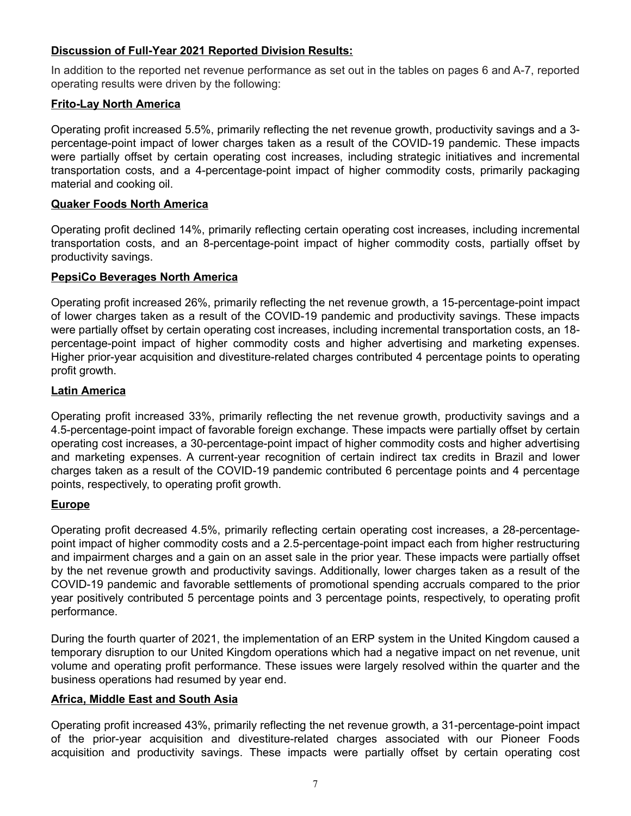# **Discussion of Full-Year 2021 Reported Division Results:**

In addition to the reported net revenue performance as set out in the tables on pages 6 and A-7, reported operating results were driven by the following:

## **Frito-Lay North America**

Operating profit increased 5.5%, primarily reflecting the net revenue growth, productivity savings and a 3 percentage-point impact of lower charges taken as a result of the COVID-19 pandemic. These impacts were partially offset by certain operating cost increases, including strategic initiatives and incremental transportation costs, and a 4-percentage-point impact of higher commodity costs, primarily packaging material and cooking oil.

# **Quaker Foods North America**

Operating profit declined 14%, primarily reflecting certain operating cost increases, including incremental transportation costs, and an 8-percentage-point impact of higher commodity costs, partially offset by productivity savings.

# **PepsiCo Beverages North America**

Operating profit increased 26%, primarily reflecting the net revenue growth, a 15-percentage-point impact of lower charges taken as a result of the COVID-19 pandemic and productivity savings. These impacts were partially offset by certain operating cost increases, including incremental transportation costs, an 18 percentage-point impact of higher commodity costs and higher advertising and marketing expenses. Higher prior-year acquisition and divestiture-related charges contributed 4 percentage points to operating profit growth.

# **Latin America**

Operating profit increased 33%, primarily reflecting the net revenue growth, productivity savings and a 4.5-percentage-point impact of favorable foreign exchange. These impacts were partially offset by certain operating cost increases, a 30-percentage-point impact of higher commodity costs and higher advertising and marketing expenses. A current-year recognition of certain indirect tax credits in Brazil and lower charges taken as a result of the COVID-19 pandemic contributed 6 percentage points and 4 percentage points, respectively, to operating profit growth.

# **Europe**

Operating profit decreased 4.5%, primarily reflecting certain operating cost increases, a 28-percentagepoint impact of higher commodity costs and a 2.5-percentage-point impact each from higher restructuring and impairment charges and a gain on an asset sale in the prior year. These impacts were partially offset by the net revenue growth and productivity savings. Additionally, lower charges taken as a result of the COVID-19 pandemic and favorable settlements of promotional spending accruals compared to the prior year positively contributed 5 percentage points and 3 percentage points, respectively, to operating profit performance.

During the fourth quarter of 2021, the implementation of an ERP system in the United Kingdom caused a temporary disruption to our United Kingdom operations which had a negative impact on net revenue, unit volume and operating profit performance. These issues were largely resolved within the quarter and the business operations had resumed by year end.

# **Africa, Middle East and South Asia**

Operating profit increased 43%, primarily reflecting the net revenue growth, a 31-percentage-point impact of the prior-year acquisition and divestiture-related charges associated with our Pioneer Foods acquisition and productivity savings. These impacts were partially offset by certain operating cost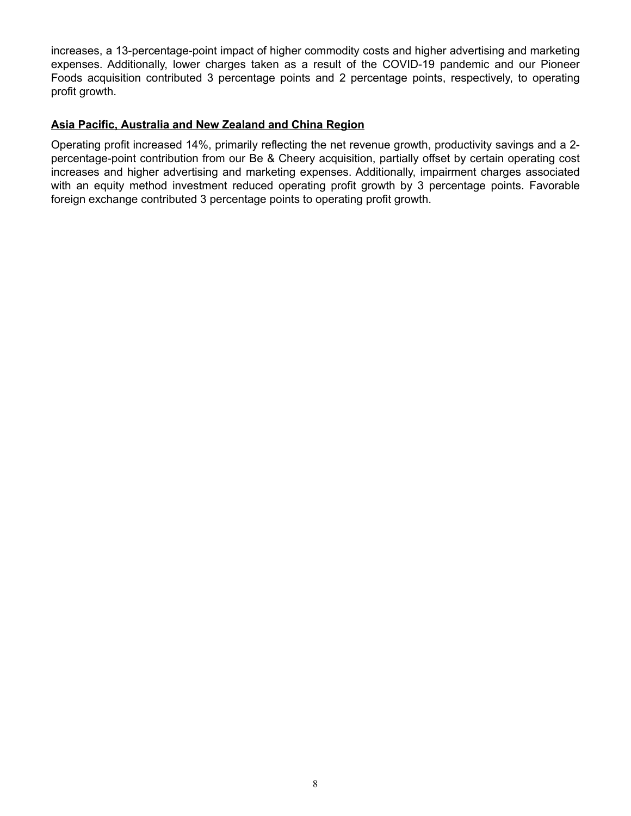increases, a 13-percentage-point impact of higher commodity costs and higher advertising and marketing expenses. Additionally, lower charges taken as a result of the COVID-19 pandemic and our Pioneer Foods acquisition contributed 3 percentage points and 2 percentage points, respectively, to operating profit growth.

# **Asia Pacific, Australia and New Zealand and China Region**

Operating profit increased 14%, primarily reflecting the net revenue growth, productivity savings and a 2 percentage-point contribution from our Be & Cheery acquisition, partially offset by certain operating cost increases and higher advertising and marketing expenses. Additionally, impairment charges associated with an equity method investment reduced operating profit growth by 3 percentage points. Favorable foreign exchange contributed 3 percentage points to operating profit growth.